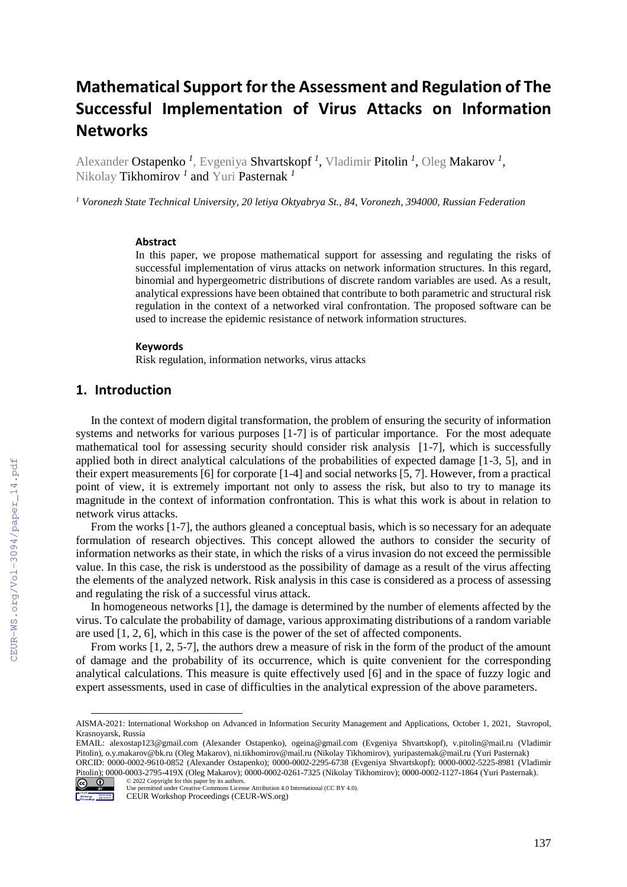# **Mathematical Support for the Assessment and Regulation of The Successful Implementation of Virus Attacks on Information Networks**

Alexander Ostapenko *<sup>1</sup>* , Evgeniya Shvartskopf *<sup>1</sup>* , Vladimir Pitolin *<sup>1</sup>* , Oleg Makarov *<sup>1</sup>* , Nikolay Tikhomirov *<sup>1</sup>* and Yuri Pasternak *<sup>1</sup>*

*<sup>1</sup> Voronezh State Technical University, 20 letiya Oktyabrya St., 84, Voronezh, 394000, Russian Federation* 

#### **Abstract**

In this paper, we propose mathematical support for assessing and regulating the risks of successful implementation of virus attacks on network information structures. In this regard, binomial and hypergeometric distributions of discrete random variables are used. As a result, analytical expressions have been obtained that contribute to both parametric and structural risk regulation in the context of a networked viral confrontation. The proposed software can be used to increase the epidemic resistance of network information structures.

#### **Keywords**

Risk regulation, information networks, virus attacks

# **1. Introduction**

In the context of modern digital transformation, the problem of ensuring the security of information systems and networks for various purposes [1-7] is of particular importance. For the most adequate mathematical tool for assessing security should consider risk analysis [1-7], which is successfully applied both in direct analytical calculations of the probabilities of expected damage [1-3, 5], and in their expert measurements [6] for corporate [1-4] and social networks [5, 7]. However, from a practical point of view, it is extremely important not only to assess the risk, but also to try to manage its magnitude in the context of information confrontation. This is what this work is about in relation to network virus attacks.

From the works [1-7], the authors gleaned a conceptual basis, which is so necessary for an adequate formulation of research objectives. This concept allowed the authors to consider the security of information networks as their state, in which the risks of a virus invasion do not exceed the permissible value. In this case, the risk is understood as the possibility of damage as a result of the virus affecting the elements of the analyzed network. Risk analysis in this case is considered as a process of assessing and regulating the risk of a successful virus attack.

In homogeneous networks [1], the damage is determined by the number of elements affected by the virus. To calculate the probability of damage, various approximating distributions of a random variable are used [1, 2, 6], which in this case is the power of the set of affected components.

From works [1, 2, 5-7], the authors drew a measure of risk in the form of the product of the amount of damage and the probability of its occurrence, which is quite convenient for the corresponding analytical calculations. This measure is quite effectively used [6] and in the space of fuzzy logic and expert assessments, used in case of difficulties in the analytical expression of the above parameters.

EMAIL: [alexostap123@gmail.com](mailto:alexostap123@gmail.com) (Alexander Ostapenko), [ogeina@gmail.com](mailto:ogeina@gmail.com) (Evgeniya Shvartskopf), [v.pitolin@mail.ru](mailto:v.pitolin@mail.ru) (Vladimir Pitolin)[, o.y.makarov@bk.ru](mailto:o.y.makarov@bk.ru) (Oleg Makarov), [ni.tikhomirov@mail.ru](mailto:ni.tikhomirov@mail.ru) (Nikolay Tikhomirov)[, yuripasternak@mail.ru](mailto:yuripasternak@mail.ru) (Yuri Pasternak) ORCID: 0000-0002-9610-0852 (Alexander Ostapenko); 0000-0002-2295-6738 (Evgeniya Shvartskopf); 0000-0002-5225-8981 (Vladimir Pitolin); 0000-0003-2795-419X (Oleg Makarov); 0000-0002-0261-7325 (Nikolay Tikhomirov); 0000-0002-1127-1864 (Yuri Pasternak). © 2022 Copyright for this paper by its authors.



 $\overline{a}$ 

AISMA-2021: International Workshop on Advanced in Information Security Management and Applications, October 1, 2021, Stavropol, Krasnoyarsk, Russia

Use permitted under Creative Commons License Attribution 4.0 International (CC BY 4.0).

CEUR Workshop Proceedings (CEUR-WS.org)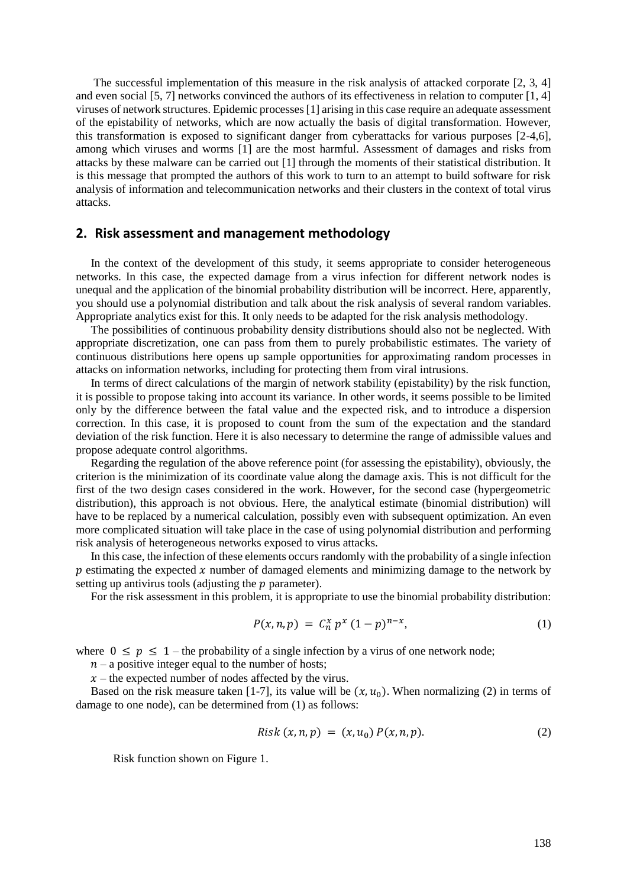The successful implementation of this measure in the risk analysis of attacked corporate [2, 3, 4] and even social [5, 7] networks convinced the authors of its effectiveness in relation to computer [1, 4] viruses of network structures. Epidemic processes [1] arising in this case require an adequate assessment of the epistability of networks, which are now actually the basis of digital transformation. However, this transformation is exposed to significant danger from cyberattacks for various purposes [2-4,6], among which viruses and worms [1] are the most harmful. Assessment of damages and risks from attacks by these malware can be carried out [1] through the moments of their statistical distribution. It is this message that prompted the authors of this work to turn to an attempt to build software for risk analysis of information and telecommunication networks and their clusters in the context of total virus attacks.

### **2. Risk assessment and management methodology**

In the context of the development of this study, it seems appropriate to consider heterogeneous networks. In this case, the expected damage from a virus infection for different network nodes is unequal and the application of the binomial probability distribution will be incorrect. Here, apparently, you should use a polynomial distribution and talk about the risk analysis of several random variables. Appropriate analytics exist for this. It only needs to be adapted for the risk analysis methodology.

The possibilities of continuous probability density distributions should also not be neglected. With appropriate discretization, one can pass from them to purely probabilistic estimates. The variety of continuous distributions here opens up sample opportunities for approximating random processes in attacks on information networks, including for protecting them from viral intrusions.

In terms of direct calculations of the margin of network stability (epistability) by the risk function, it is possible to propose taking into account its variance. In other words, it seems possible to be limited only by the difference between the fatal value and the expected risk, and to introduce a dispersion correction. In this case, it is proposed to count from the sum of the expectation and the standard deviation of the risk function. Here it is also necessary to determine the range of admissible values and propose adequate control algorithms.

Regarding the regulation of the above reference point (for assessing the epistability), obviously, the criterion is the minimization of its coordinate value along the damage axis. This is not difficult for the first of the two design cases considered in the work. However, for the second case (hypergeometric distribution), this approach is not obvious. Here, the analytical estimate (binomial distribution) will have to be replaced by a numerical calculation, possibly even with subsequent optimization. An even more complicated situation will take place in the case of using polynomial distribution and performing risk analysis of heterogeneous networks exposed to virus attacks.

In this case, the infection of these elements occurs randomly with the probability of a single infection  $p$  estimating the expected  $x$  number of damaged elements and minimizing damage to the network by setting up antivirus tools (adjusting the  $p$  parameter).

For the risk assessment in this problem, it is appropriate to use the binomial probability distribution:

$$
P(x, n, p) = C_n^x p^x (1-p)^{n-x}, \qquad (1)
$$

where  $0 \le p \le 1$  – the probability of a single infection by a virus of one network node;

 $n - a$  positive integer equal to the number of hosts;

 $x$  – the expected number of nodes affected by the virus.

Based on the risk measure taken [1-7], its value will be  $(x, u_0)$ . When normalizing (2) in terms of damage to one node), can be determined from (1) as follows:

Risk 
$$
(x, n, p) = (x, u_0) P(x, n, p).
$$
 (2)

Risk function shown on Figure 1.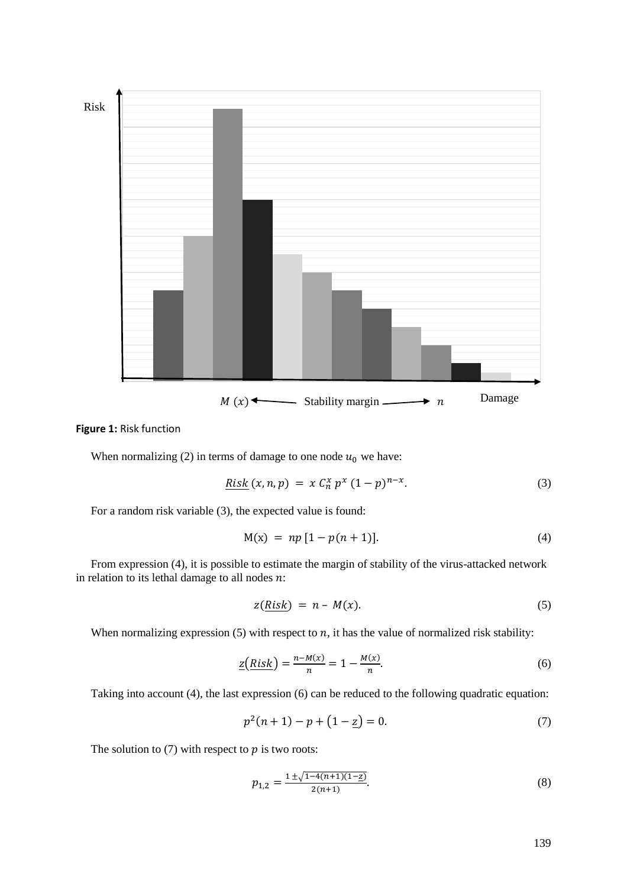

#### **Figure 1:** Risk function

When normalizing (2) in terms of damage to one node  $u_0$  we have:

$$
\underline{Risk}(x,n,p) = x C_n^x p^x (1-p)^{n-x}.
$$
 (3)

For a random risk variable (3), the expected value is found:

$$
M(x) = np [1 - p(n+1)]. \tag{4}
$$

From expression (4), it is possible to estimate the margin of stability of the virus-attacked network in relation to its lethal damage to all nodes  $n$ :

$$
z(Risk) = n - M(x). \tag{5}
$$

When normalizing expression  $(5)$  with respect to  $n$ , it has the value of normalized risk stability:

$$
\underline{z}\left(Risk\right) = \frac{n - M(x)}{n} = 1 - \frac{M(x)}{n}.\tag{6}
$$

Taking into account (4), the last expression (6) can be reduced to the following quadratic equation:

$$
p^2(n+1) - p + (1 - z) = 0.
$$
 (7)

The solution to  $(7)$  with respect to  $p$  is two roots:

$$
p_{1,2} = \frac{1 \pm \sqrt{1 - 4(n+1)(1 - \underline{z})}}{2(n+1)}.\tag{8}
$$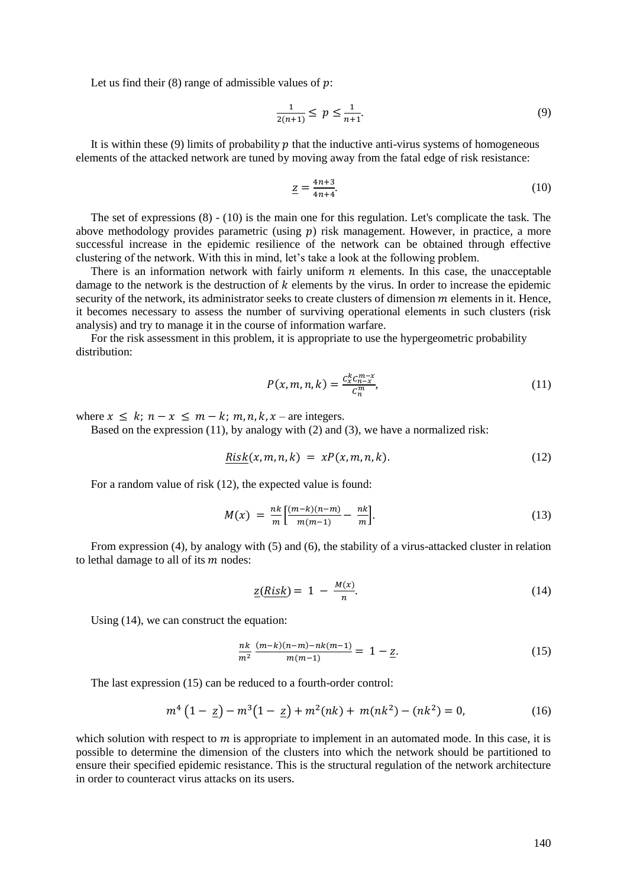Let us find their  $(8)$  range of admissible values of  $p$ :

$$
\frac{1}{2(n+1)} \le p \le \frac{1}{n+1}.\tag{9}
$$

It is within these (9) limits of probability  $p$  that the inductive anti-virus systems of homogeneous elements of the attacked network are tuned by moving away from the fatal edge of risk resistance:

$$
\underline{z} = \frac{4n+3}{4n+4}.\tag{10}
$$

The set of expressions (8) - (10) is the main one for this regulation. Let's complicate the task. The above methodology provides parametric (using  $p$ ) risk management. However, in practice, a more successful increase in the epidemic resilience of the network can be obtained through effective clustering of the network. With this in mind, let's take a look at the following problem.

There is an information network with fairly uniform  $n$  elements. In this case, the unacceptable damage to the network is the destruction of  $k$  elements by the virus. In order to increase the epidemic security of the network, its administrator seeks to create clusters of dimension  $m$  elements in it. Hence, it becomes necessary to assess the number of surviving operational elements in such clusters (risk analysis) and try to manage it in the course of information warfare.

For the risk assessment in this problem, it is appropriate to use the hypergeometric probability distribution:

$$
P(x, m, n, k) = \frac{c_x^k c_{n-x}^{m-x}}{c_n^m},
$$
\n(11)

where  $x \le k$ ;  $n - x \le m - k$ ;  $m, n, k, x$  – are integers.

Based on the expression (11), by analogy with (2) and (3), we have a normalized risk:

$$
Risk(x, m, n, k) = xP(x, m, n, k). \tag{12}
$$

For a random value of risk (12), the expected value is found:

$$
M(x) = \frac{nk}{m} \left[ \frac{(m-k)(n-m)}{m(m-1)} - \frac{nk}{m} \right].
$$
 (13)

From expression (4), by analogy with (5) and (6), the stability of a virus-attacked cluster in relation to lethal damage to all of its  $m$  nodes:

$$
\underline{z}(Risk) = 1 - \frac{M(x)}{n}.\tag{14}
$$

Using (14), we can construct the equation:

$$
\frac{nk}{m^2} \frac{(m-k)(n-m)-nk(m-1)}{m(m-1)} = 1 - \underline{z}.
$$
\n(15)

The last expression (15) can be reduced to a fourth-order control:

$$
m^4 \left(1 - \underline{z}\right) - m^3 \left(1 - \underline{z}\right) + m^2 (nk) + m(nk^2) - (nk^2) = 0,\tag{16}
$$

which solution with respect to  $m$  is appropriate to implement in an automated mode. In this case, it is possible to determine the dimension of the clusters into which the network should be partitioned to ensure their specified epidemic resistance. This is the structural regulation of the network architecture in order to counteract virus attacks on its users.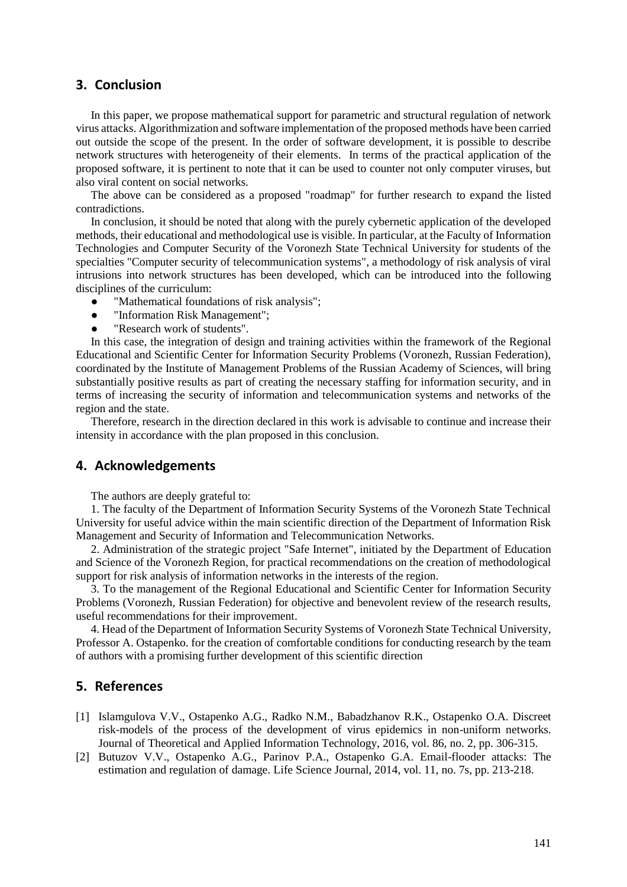# **3. Conclusion**

In this paper, we propose mathematical support for parametric and structural regulation of network virus attacks. Algorithmization and software implementation of the proposed methods have been carried out outside the scope of the present. In the order of software development, it is possible to describe network structures with heterogeneity of their elements. In terms of the practical application of the proposed software, it is pertinent to note that it can be used to counter not only computer viruses, but also viral content on social networks.

The above can be considered as a proposed "roadmap" for further research to expand the listed contradictions.

In conclusion, it should be noted that along with the purely cybernetic application of the developed methods, their educational and methodological use is visible. In particular, at the Faculty of Information Technologies and Computer Security of the Voronezh State Technical University for students of the specialties "Computer security of telecommunication systems", a methodology of risk analysis of viral intrusions into network structures has been developed, which can be introduced into the following disciplines of the curriculum:

- "Mathematical foundations of risk analysis";
- "Information Risk Management";
- "Research work of students".

In this case, the integration of design and training activities within the framework of the Regional Educational and Scientific Center for Information Security Problems (Voronezh, Russian Federation), coordinated by the Institute of Management Problems of the Russian Academy of Sciences, will bring substantially positive results as part of creating the necessary staffing for information security, and in terms of increasing the security of information and telecommunication systems and networks of the region and the state.

Therefore, research in the direction declared in this work is advisable to continue and increase their intensity in accordance with the plan proposed in this conclusion.

## **4. Acknowledgements**

The authors are deeply grateful to:

1. The faculty of the Department of Information Security Systems of the Voronezh State Technical University for useful advice within the main scientific direction of the Department of Information Risk Management and Security of Information and Telecommunication Networks.

2. Administration of the strategic project "Safe Internet", initiated by the Department of Education and Science of the Voronezh Region, for practical recommendations on the creation of methodological support for risk analysis of information networks in the interests of the region.

3. To the management of the Regional Educational and Scientific Center for Information Security Problems (Voronezh, Russian Federation) for objective and benevolent review of the research results, useful recommendations for their improvement.

4. Head of the Department of Information Security Systems of Voronezh State Technical University, Professor A. Ostapenko. for the creation of comfortable conditions for conducting research by the team of authors with a promising further development of this scientific direction

## **5. References**

- [1] Islamgulova V.V., Ostapenko A.G., Radko N.M., Babadzhanov R.K., Ostapenko O.A. Discreet risk-models of the process of the development of virus epidemics in non-uniform networks. Journal of Theoretical and Applied Information Technology, 2016, vol. 86, no. 2, pp. 306-315.
- [2] Butuzov V.V., Ostapenko A.G., Parinov P.A., Ostapenko G.A. Email-flooder attacks: The estimation and regulation of damage. Life Science Journal, 2014, vol. 11, no. 7s, pp. 213-218.